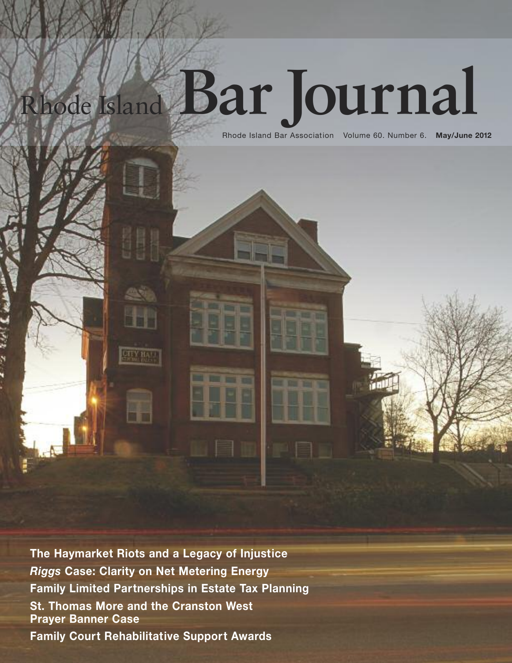# Rhode Island **Bar Journal**

Rhode Island Bar Association Volume 60. Number 6. **May/June 2012**

**The Haymarket Riots and a Legacy of Injustice** *Riggs* **Case: Clarity on Net Metering Energy Family Limited Partnerships in Estate Tax Planning St. Thomas More and the Cranston West Prayer Banner Case Family Court Rehabilitative Support Awards**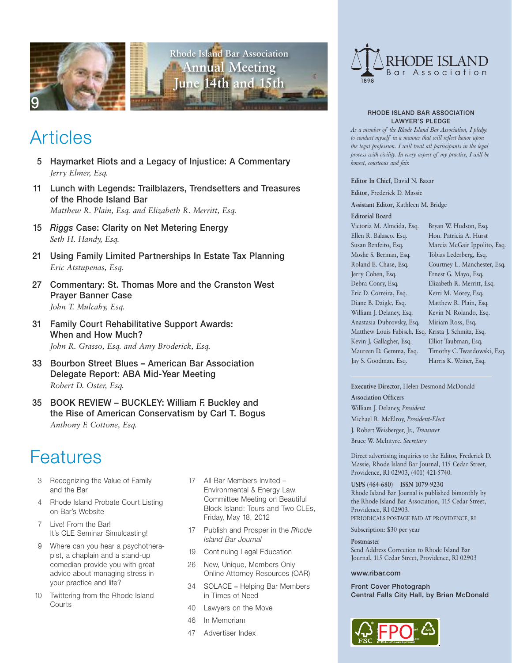



## Articles

- 5 Haymarket Riots and a Legacy of Injustice: A Commentary *Jerry Elmer, Esq.*
- 11 Lunch with Legends: Trailblazers, Trendsetters and Treasures of the Rhode Island Bar *Matthew R. Plain, Esq. and Elizabeth R. Merritt, Esq.*
- 15 *Riggs* Case: Clarity on Net Metering Energy *Seth H. Handy, Esq.*
- 21 Using Family Limited Partnerships In Estate Tax Planning *Eric Atstupenas, Esq.*
- 27 Commentary: St. Thomas More and the Cranston West Prayer Banner Case *John T. Mulcahy, Esq.*
- 31 Family Court Rehabilitative Support Awards: When and How Much? *John R. Grasso, Esq. and Amy Broderick, Esq.*
- 33 Bourbon Street Blues American Bar Association Delegate Report: ABA Mid-Year Meeting *Robert D. Oster, Esq.*
- 35 BOOK REVIEW BUCKLEY: William F. Buckley and the Rise of American Conservatism by Carl T. Bogus *Anthony F. Cottone, Esq.*

# Features

- 3 Recognizing the Value of Family and the Bar
- 4 Rhode Island Probate Court Listing on Bar's Website
- 7 Live! From the Bar! It's CLE Seminar Simulcasting!
- 9 Where can you hear a psychotherapist, a chaplain and a stand-up comedian provide you with great advice about managing stress in your practice and life?
- 10 Twittering from the Rhode Island **Courts**
- 17 All Bar Members Invited Environmental & Energy Law Committee Meeting on Beautiful Block Island: Tours and Two CLEs, Friday, May 18, 2012
- 17 Publish and Prosper in the *Rhode Island Bar Journal*
- 19 Continuing Legal Education
- 26 New, Unique, Members Only Online Attorney Resources (OAR)
- 34 SOLACE **–** Helping Bar Members in Times of Need
- 40 Lawyers on the Move
- 46 In Memoriam
- 47 Advertiser Index



#### RHODE ISLAND BAR ASSOCIATION LAWYER'S PLEDGE

*As a member of the Rhode Island Bar Association, I pledge to conduct myself in a manner that will reflect honor upon the legal profession. I will treat all participants in the legal process with civility. In every aspect of my practice, I will be honest, courteous and fair.*

**Editor In Chief**, David N. Bazar

**Editor**, Frederick D. Massie

**Assistant Editor**, Kathleen M. Bridge

## **Editorial Board**

Victoria M. Almeida, Esq. Ellen R. Balasco, Esq. Susan Benfeito, Esq. Moshe S. Berman, Esq. Roland E. Chase, Esq. Jerry Cohen, Esq. Debra Conry, Esq. Eric D. Correira, Esq. Diane B. Daigle, Esq. William J. Delaney, Esq. Anastasia Dubrovsky, Esq. Matthew Louis Fabisch, Esq. Krista J. Schmitz, Esq. Kevin J. Gallagher, Esq. Maureen D. Gemma, Esq. Jay S. Goodman, Esq.

Bryan W. Hudson, Esq. Hon. Patricia A. Hurst Marcia McGair Ippolito, Esq. Tobias Lederberg, Esq. Courtney L. Manchester, Esq. Ernest G. Mayo, Esq. Elizabeth R. Merritt, Esq. Kerri M. Morey, Esq. Matthew R. Plain, Esq. Kevin N. Rolando, Esq. Miriam Ross, Esq. Elliot Taubman, Esq. Timothy C. Twardowski, Esq. Harris K. Weiner, Esq.

**Executive Director**, Helen Desmond McDonald **Association Officers** William J. Delaney, *President* Michael R. McElroy, *President-Elect* J. Robert Weisberger, Jr.*, Treasurer* Bruce W. McIntyre, *Secretary*

Direct advertising inquiries to the Editor, Frederick D. Massie, Rhode Island Bar Journal, 115 Cedar Street, Providence, RI 02903, (401) 421-5740.

**USPS (464-680) ISSN 1079-9230** Rhode Island Bar Journal is published bimonthly by the Rhode Island Bar Association, 115 Cedar Street, Providence, RI 02903. PERIODICALS POSTAGE PAID AT PROVIDENCE, RI

Subscription: \$30 per year

**Postmaster** Send Address Correction to Rhode Island Bar Journal, 115 Cedar Street, Providence, RI 02903

## www.ribar.com

Front Cover Photograph Central Falls City Hall, by Brian McDonald

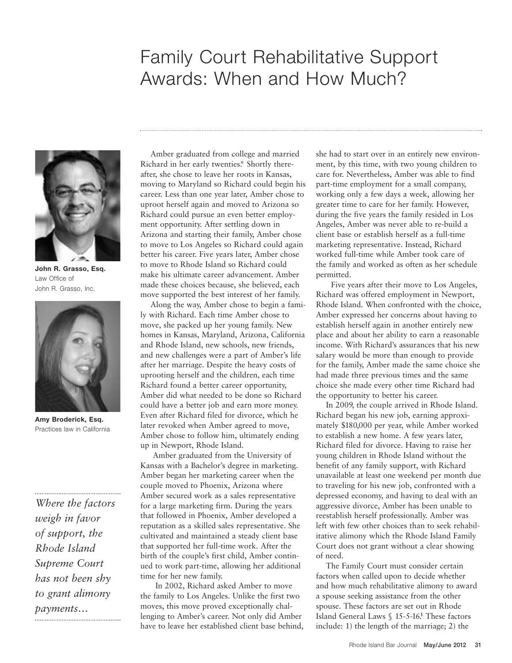## Family Court Rehabilitative Support Awards: When and How Much?



**John R. Grasso, Esq.** Law Office of John R. Grasso, Inc.



**Amy Broderick, Esq.** Practices law in California

*Where the factors weigh in favor of support, the Rhode Island Supreme Court has not been shy to grant alimony payments…*

Amber graduated from college and married Richard in her early twenties\*. Shortly thereafter, she chose to leave her roots in Kansas, moving to Maryland so Richard could begin his career. Less than one year later, Amber chose to uproot herself again and moved to Arizona so Richard could pursue an even better employment opportunity. After settling down in Arizona and starting their family, Amber chose to move to Los Angeles so Richard could again better his career. Five years later, Amber chose to move to Rhode Island so Richard could make his ultimate career advancement. Amber made these choices because, she believed, each move supported the best interest of her family.

Along the way, Amber chose to begin a family with Richard. Each time Amber chose to move, she packed up her young family. New homes in Kansas, Maryland, Arizona, California and Rhode Island, new schools, new friends, and new challenges were a part of Amber's life after her marriage. Despite the heavy costs of uprooting herself and the children, each time Richard found a better career opportunity, Amber did what needed to be done so Richard could have a better job and earn more money. Even after Richard filed for divorce, which he later revoked when Amber agreed to move, Amber chose to follow him, ultimately ending up in Newport, Rhode Island.

Amber graduated from the University of Kansas with a Bachelor's degree in marketing. Amber began her marketing career when the couple moved to Phoenix, Arizona where Amber secured work as a sales representative for a large marketing firm. During the years that followed in Phoenix, Amber developed a reputation as a skilled sales representative. She cultivated and maintained a steady client base that supported her full-time work. After the birth of the couple's first child, Amber continued to work part-time, allowing her additional time for her new family.

In 2002, Richard asked Amber to move the family to Los Angeles. Unlike the first two moves, this move proved exceptionally challenging to Amber's career. Not only did Amber have to leave her established client base behind, she had to start over in an entirely new environment, by this time, with two young children to care for. Nevertheless, Amber was able to find part-time employment for a small company, working only a few days a week, allowing her greater time to care for her family. However, during the five years the family resided in Los Angeles, Amber was never able to re-build a client base or establish herself as a full-time marketing representative. Instead, Richard worked full-time while Amber took care of the family and worked as often as her schedule permitted.

Five years after their move to Los Angeles, Richard was offered employment in Newport, Rhode Island. When confronted with the choice, Amber expressed her concerns about having to establish herself again in another entirely new place and about her ability to earn a reasonable income. With Richard's assurances that his new salary would be more than enough to provide for the family, Amber made the same choice she had made three previous times and the same choice she made every other time Richard had the opportunity to better his career.

In 2009, the couple arrived in Rhode Island. Richard began his new job, earning approximately \$180,000 per year, while Amber worked to establish a new home. A few years later, Richard filed for divorce. Having to raise her young children in Rhode Island without the benefit of any family support, with Richard unavailable at least one weekend per month due to traveling for his new job, confronted with a depressed economy, and having to deal with an aggressive divorce, Amber has been unable to reestablish herself professionally. Amber was left with few other choices than to seek rehabilitative alimony which the Rhode Island Family Court does not grant without a clear showing of need.

The Family Court must consider certain factors when called upon to decide whether and how much rehabilitative alimony to award a spouse seeking assistance from the other spouse. These factors are set out in Rhode Island General Laws § 15-5-16. **<sup>1</sup>** These factors include: 1) the length of the marriage; 2) the